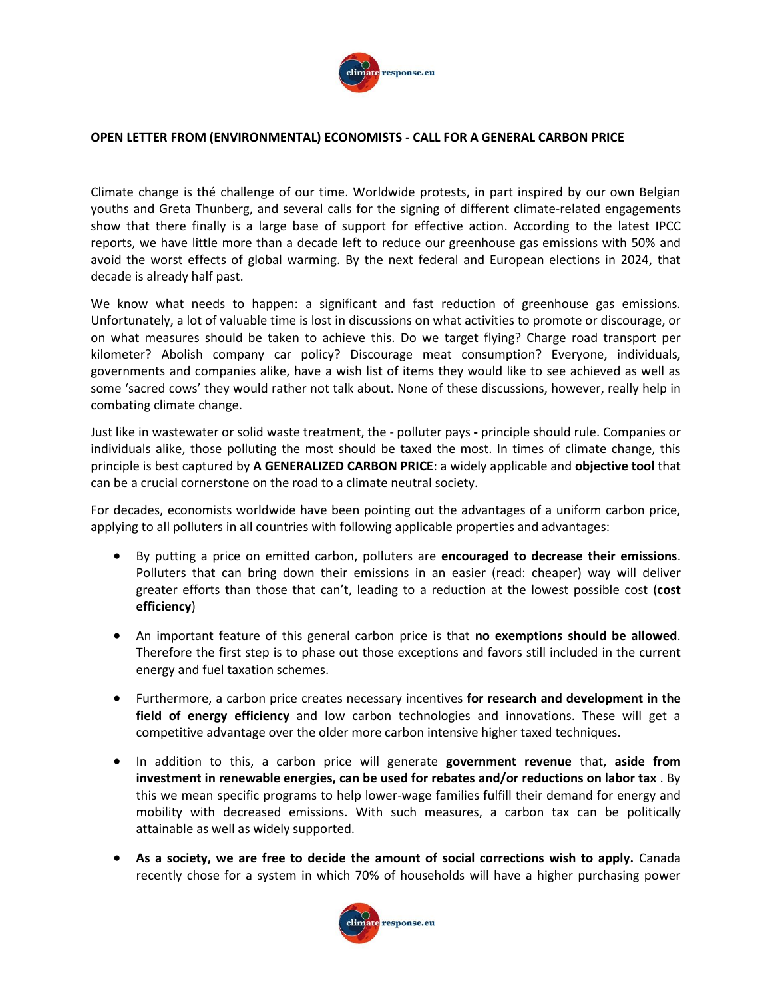

## **OPEN LETTER FROM (ENVIRONMENTAL) ECONOMISTS - CALL FOR A GENERAL CARBON PRICE**

Climate change is thé challenge of our time. Worldwide protests, in part inspired by our own Belgian youths and Greta Thunberg, and several calls for the signing of different climate-related engagements show that there finally is a large base of support for effective action. According to the latest IPCC reports, we have little more than a decade left to reduce our greenhouse gas emissions with 50% and avoid the worst effects of global warming. By the next federal and European elections in 2024, that decade is already half past.

We know what needs to happen: a significant and fast reduction of greenhouse gas emissions. Unfortunately, a lot of valuable time is lost in discussions on what activities to promote or discourage, or on what measures should be taken to achieve this. Do we target flying? Charge road transport per kilometer? Abolish company car policy? Discourage meat consumption? Everyone, individuals, governments and companies alike, have a wish list of items they would like to see achieved as well as some 'sacred cows' they would rather not talk about. None of these discussions, however, really help in combating climate change.

Just like in wastewater or solid waste treatment, the - polluter pays **-** principle should rule. Companies or individuals alike, those polluting the most should be taxed the most. In times of climate change, this principle is best captured by **A GENERALIZED CARBON PRICE**: a widely applicable and **objective tool** that can be a crucial cornerstone on the road to a climate neutral society.

For decades, economists worldwide have been pointing out the advantages of a uniform carbon price, applying to all polluters in all countries with following applicable properties and advantages:

- By putting a price on emitted carbon, polluters are **encouraged to decrease their emissions**. Polluters that can bring down their emissions in an easier (read: cheaper) way will deliver greater efforts than those that can't, leading to a reduction at the lowest possible cost (**cost efficiency**)
- An important feature of this general carbon price is that **no exemptions should be allowed**. Therefore the first step is to phase out those exceptions and favors still included in the current energy and fuel taxation schemes.
- Furthermore, a carbon price creates necessary incentives **for research and development in the field of energy efficiency** and low carbon technologies and innovations. These will get a competitive advantage over the older more carbon intensive higher taxed techniques.
- In addition to this, a carbon price will generate **government revenue** that, **aside from investment in renewable energies, can be used for rebates and/or reductions on labor tax** . By this we mean specific programs to help lower-wage families fulfill their demand for energy and mobility with decreased emissions. With such measures, a carbon tax can be politically attainable as well as widely supported.
- **As a society, we are free to decide the amount of social corrections wish to apply.** Canada recently chose for a system in which 70% of households will have a higher purchasing power